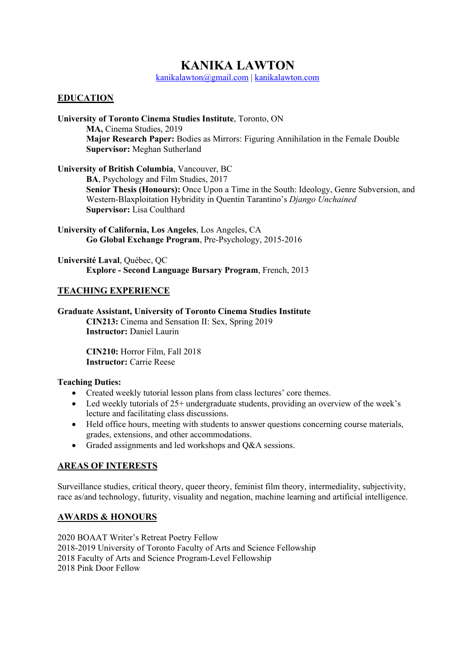# **KANIKA LAWTON**

kanikalawton@gmail.com | kanikalawton.com

## **EDUCATION**

**University of Toronto Cinema Studies Institute**, Toronto, ON **MA,** Cinema Studies, 2019 **Major Research Paper:** Bodies as Mirrors: Figuring Annihilation in the Female Double **Supervisor:** Meghan Sutherland

**University of British Columbia**, Vancouver, BC

**BA**, Psychology and Film Studies, 2017 **Senior Thesis (Honours):** Once Upon a Time in the South: Ideology, Genre Subversion, and Western-Blaxploitation Hybridity in Quentin Tarantino's *Django Unchained* **Supervisor:** Lisa Coulthard

**University of California, Los Angeles**, Los Angeles, CA **Go Global Exchange Program**, Pre-Psychology, 2015-2016

**Université Laval**, Québec, QC **Explore - Second Language Bursary Program**, French, 2013

### **TEACHING EXPERIENCE**

**Graduate Assistant, University of Toronto Cinema Studies Institute CIN213:** Cinema and Sensation II: Sex, Spring 2019 **Instructor:** Daniel Laurin

> **CIN210:** Horror Film, Fall 2018 **Instructor:** Carrie Reese

#### **Teaching Duties:**

- Created weekly tutorial lesson plans from class lectures' core themes.
- Led weekly tutorials of 25+ undergraduate students, providing an overview of the week's lecture and facilitating class discussions.
- Held office hours, meeting with students to answer questions concerning course materials, grades, extensions, and other accommodations.
- Graded assignments and led workshops and Q&A sessions.

## **AREAS OF INTERESTS**

Surveillance studies, critical theory, queer theory, feminist film theory, intermediality, subjectivity, race as/and technology, futurity, visuality and negation, machine learning and artificial intelligence.

#### **AWARDS & HONOURS**

2020 BOAAT Writer's Retreat Poetry Fellow 2018-2019 University of Toronto Faculty of Arts and Science Fellowship 2018 Faculty of Arts and Science Program-Level Fellowship 2018 Pink Door Fellow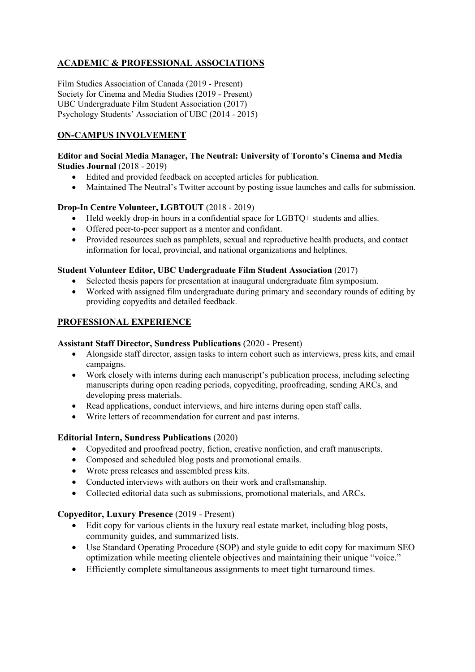## **ACADEMIC & PROFESSIONAL ASSOCIATIONS**

Film Studies Association of Canada (2019 - Present) Society for Cinema and Media Studies (2019 - Present) UBC Undergraduate Film Student Association (2017) Psychology Students' Association of UBC (2014 - 2015)

## **ON-CAMPUS INVOLVEMENT**

#### **Editor and Social Media Manager, The Neutral: University of Toronto's Cinema and Media Studies Journal** (2018 - 2019)

- Edited and provided feedback on accepted articles for publication.
- Maintained The Neutral's Twitter account by posting issue launches and calls for submission.

### **Drop-In Centre Volunteer, LGBTOUT** (2018 - 2019)

- Held weekly drop-in hours in a confidential space for LGBTQ+ students and allies.
- Offered peer-to-peer support as a mentor and confidant.
- Provided resources such as pamphlets, sexual and reproductive health products, and contact information for local, provincial, and national organizations and helplines.

#### **Student Volunteer Editor, UBC Undergraduate Film Student Association** (2017)

- Selected thesis papers for presentation at inaugural undergraduate film symposium.
- Worked with assigned film undergraduate during primary and secondary rounds of editing by providing copyedits and detailed feedback.

## **PROFESSIONAL EXPERIENCE**

#### **Assistant Staff Director, Sundress Publications** (2020 - Present)

- Alongside staff director, assign tasks to intern cohort such as interviews, press kits, and email campaigns.
- Work closely with interns during each manuscript's publication process, including selecting manuscripts during open reading periods, copyediting, proofreading, sending ARCs, and developing press materials.
- Read applications, conduct interviews, and hire interns during open staff calls.
- Write letters of recommendation for current and past interns.

#### **Editorial Intern, Sundress Publications** (2020)

- Copyedited and proofread poetry, fiction, creative nonfiction, and craft manuscripts.
- Composed and scheduled blog posts and promotional emails.
- Wrote press releases and assembled press kits.
- Conducted interviews with authors on their work and craftsmanship.
- Collected editorial data such as submissions, promotional materials, and ARCs.

#### **Copyeditor, Luxury Presence** (2019 - Present)

- Edit copy for various clients in the luxury real estate market, including blog posts, community guides, and summarized lists.
- Use Standard Operating Procedure (SOP) and style guide to edit copy for maximum SEO optimization while meeting clientele objectives and maintaining their unique "voice."
- Efficiently complete simultaneous assignments to meet tight turnaround times.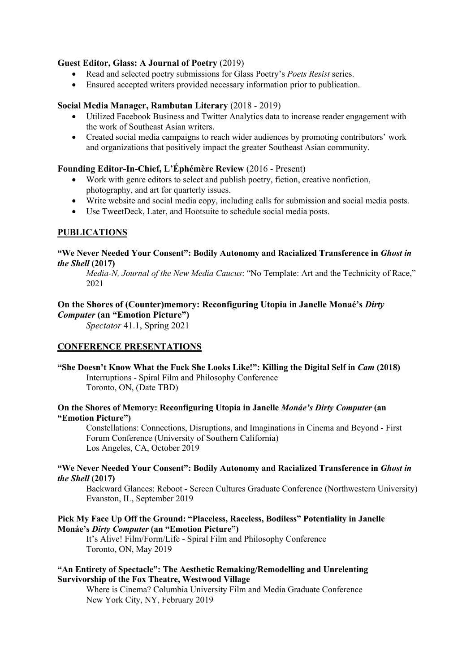#### **Guest Editor, Glass: A Journal of Poetry** (2019)

- Read and selected poetry submissions for Glass Poetry's *Poets Resist* series.
- Ensured accepted writers provided necessary information prior to publication.

#### **Social Media Manager, Rambutan Literary** (2018 - 2019)

- Utilized Facebook Business and Twitter Analytics data to increase reader engagement with the work of Southeast Asian writers.
- Created social media campaigns to reach wider audiences by promoting contributors' work and organizations that positively impact the greater Southeast Asian community.

#### **Founding Editor-In-Chief, L'Éphémère Review** (2016 - Present)

- Work with genre editors to select and publish poetry, fiction, creative nonfiction, photography, and art for quarterly issues.
- Write website and social media copy, including calls for submission and social media posts.
- Use TweetDeck, Later, and Hootsuite to schedule social media posts.

#### **PUBLICATIONS**

#### **"We Never Needed Your Consent": Bodily Autonomy and Racialized Transference in** *Ghost in the Shell* **(2017)**

*Media-N, Journal of the New Media Caucus*: "No Template: Art and the Technicity of Race," 2021

#### **On the Shores of (Counter)memory: Reconfiguring Utopia in Janelle Monaé's** *Dirty Computer* **(an "Emotion Picture")**

*Spectator* 41.1, Spring 2021

#### **CONFERENCE PRESENTATIONS**

**"She Doesn't Know What the Fuck She Looks Like!": Killing the Digital Self in** *Cam* **(2018)** Interruptions - Spiral Film and Philosophy Conference Toronto, ON, (Date TBD)

#### **On the Shores of Memory: Reconfiguring Utopia in Janelle** *Monáe's Dirty Computer* **(an "Emotion Picture")**

Constellations: Connections, Disruptions, and Imaginations in Cinema and Beyond - First Forum Conference (University of Southern California) Los Angeles, CA, October 2019

#### **"We Never Needed Your Consent": Bodily Autonomy and Racialized Transference in** *Ghost in the Shell* **(2017)**

Backward Glances: Reboot - Screen Cultures Graduate Conference (Northwestern University) Evanston, IL, September 2019

#### **Pick My Face Up Off the Ground: "Placeless, Raceless, Bodiless" Potentiality in Janelle Monáe's** *Dirty Computer* **(an "Emotion Picture")**

It's Alive! Film/Form/Life - Spiral Film and Philosophy Conference Toronto, ON, May 2019

#### **"An Entirety of Spectacle": The Aesthetic Remaking/Remodelling and Unrelenting Survivorship of the Fox Theatre, Westwood Village**

Where is Cinema? Columbia University Film and Media Graduate Conference New York City, NY, February 2019